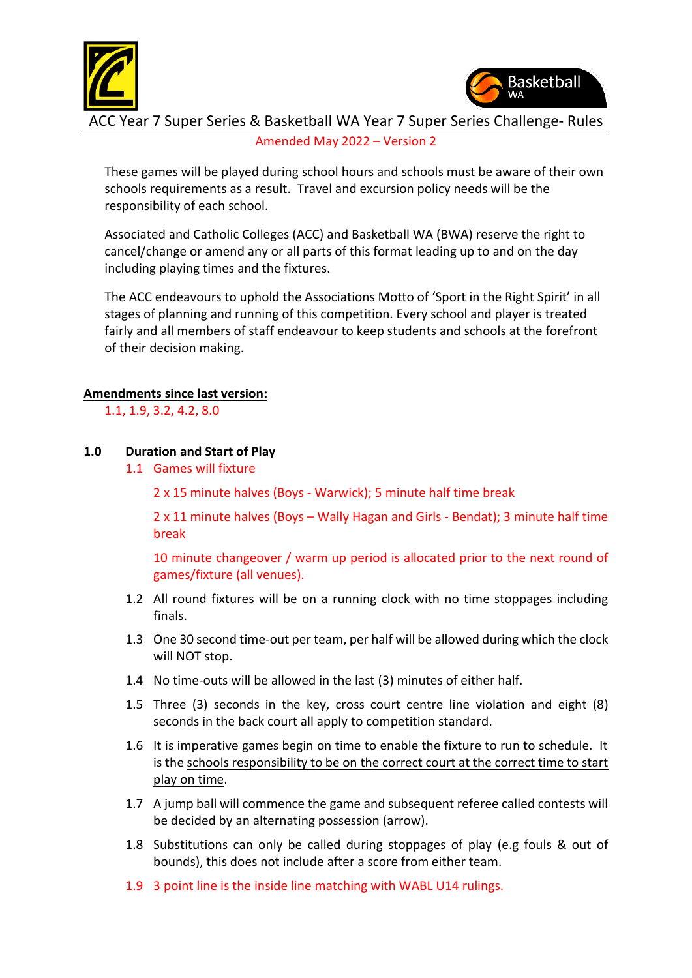



 $\overline{\phantom{a}}$ ACC Year 7 Super Series & Basketball WA Year 7 Super Series Challenge- Rules Amended May 2022 – Version 2

These games will be played during school hours and schools must be aware of their own schools requirements as a result. Travel and excursion policy needs will be the responsibility of each school.

Associated and Catholic Colleges (ACC) and Basketball WA (BWA) reserve the right to cancel/change or amend any or all parts of this format leading up to and on the day including playing times and the fixtures.

The ACC endeavours to uphold the Associations Motto of 'Sport in the Right Spirit' in all stages of planning and running of this competition. Every school and player is treated fairly and all members of staff endeavour to keep students and schools at the forefront of their decision making.

## **Amendments since last version:**

1.1, 1.9, 3.2, 4.2, 8.0

## **1.0 Duration and Start of Play**

1.1 Games will fixture

2 x 15 minute halves (Boys - Warwick); 5 minute half time break

2 x 11 minute halves (Boys – Wally Hagan and Girls - Bendat); 3 minute half time break

10 minute changeover / warm up period is allocated prior to the next round of games/fixture (all venues).

- 1.2 All round fixtures will be on a running clock with no time stoppages including finals.
- 1.3 One 30 second time-out per team, per half will be allowed during which the clock will NOT stop.
- 1.4 No time-outs will be allowed in the last (3) minutes of either half.
- 1.5 Three (3) seconds in the key, cross court centre line violation and eight (8) seconds in the back court all apply to competition standard.
- 1.6 It is imperative games begin on time to enable the fixture to run to schedule. It is the schools responsibility to be on the correct court at the correct time to start play on time.
- 1.7 A jump ball will commence the game and subsequent referee called contests will be decided by an alternating possession (arrow).
- 1.8 Substitutions can only be called during stoppages of play (e.g fouls & out of bounds), this does not include after a score from either team.
- 1.9 3 point line is the inside line matching with WABL U14 rulings.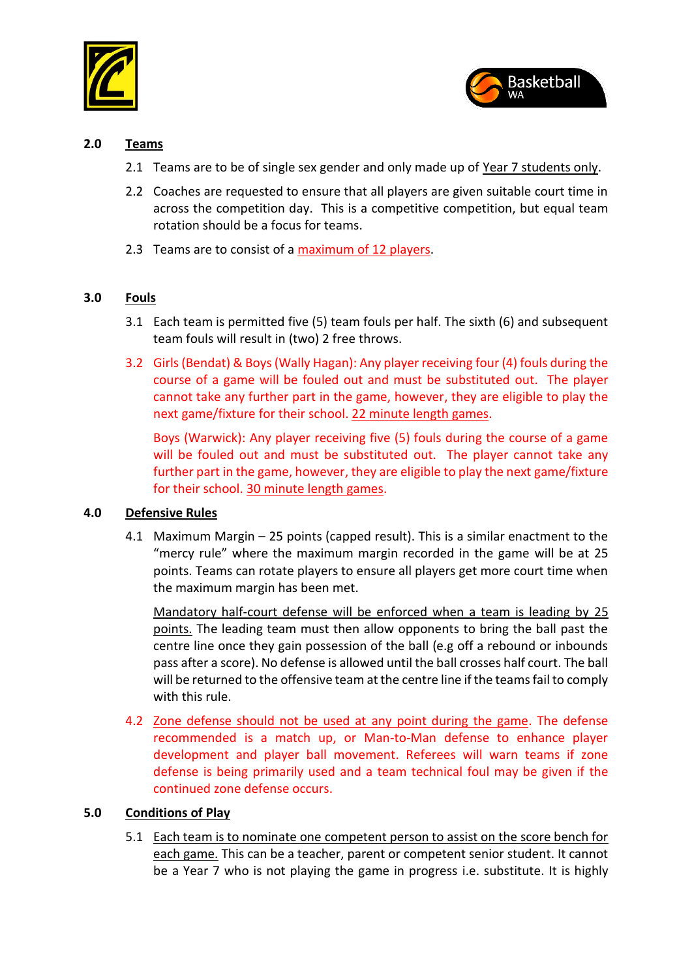



## **2.0 Teams**

- 2.1 Teams are to be of single sex gender and only made up of Year 7 students only.
- 2.2 Coaches are requested to ensure that all players are given suitable court time in across the competition day. This is a competitive competition, but equal team rotation should be a focus for teams.
- 2.3 Teams are to consist of a maximum of 12 players.

## **3.0 Fouls**

- 3.1 Each team is permitted five (5) team fouls per half. The sixth (6) and subsequent team fouls will result in (two) 2 free throws.
- 3.2 Girls(Bendat) & Boys (Wally Hagan): Any player receiving four (4) fouls during the course of a game will be fouled out and must be substituted out. The player cannot take any further part in the game, however, they are eligible to play the next game/fixture for their school. 22 minute length games.

Boys (Warwick): Any player receiving five (5) fouls during the course of a game will be fouled out and must be substituted out. The player cannot take any further part in the game, however, they are eligible to play the next game/fixture for their school. 30 minute length games.

#### **4.0 Defensive Rules**

4.1 Maximum Margin – 25 points (capped result). This is a similar enactment to the "mercy rule" where the maximum margin recorded in the game will be at 25 points. Teams can rotate players to ensure all players get more court time when the maximum margin has been met.

Mandatory half-court defense will be enforced when a team is leading by 25 points. The leading team must then allow opponents to bring the ball past the centre line once they gain possession of the ball (e.g off a rebound or inbounds pass after a score). No defense is allowed until the ball crosses half court. The ball will be returned to the offensive team at the centre line if the teams fail to comply with this rule.

4.2 Zone defense should not be used at any point during the game. The defense recommended is a match up, or Man-to-Man defense to enhance player development and player ball movement. Referees will warn teams if zone defense is being primarily used and a team technical foul may be given if the continued zone defense occurs.

#### **5.0 Conditions of Play**

5.1 Each team is to nominate one competent person to assist on the score bench for each game. This can be a teacher, parent or competent senior student. It cannot be a Year 7 who is not playing the game in progress i.e. substitute. It is highly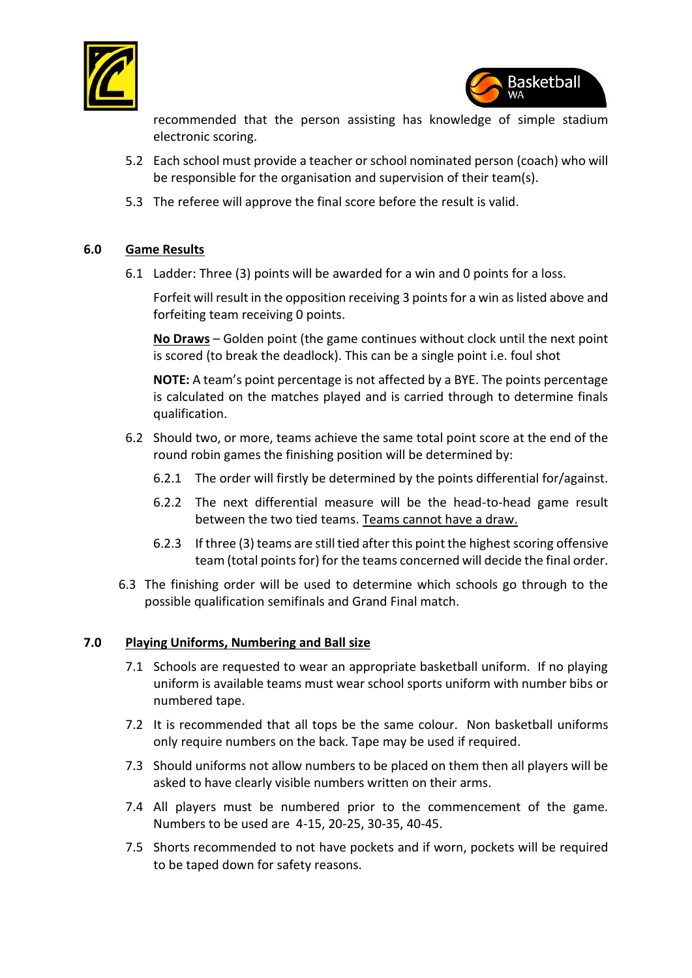



recommended that the person assisting has knowledge of simple stadium electronic scoring.

- 5.2 Each school must provide a teacher or school nominated person (coach) who will be responsible for the organisation and supervision of their team(s).
- 5.3 The referee will approve the final score before the result is valid.

# **6.0 Game Results**

6.1 Ladder: Three (3) points will be awarded for a win and 0 points for a loss.

Forfeit will result in the opposition receiving 3 points for a win as listed above and forfeiting team receiving 0 points.

**No Draws** – Golden point (the game continues without clock until the next point is scored (to break the deadlock). This can be a single point i.e. foul shot

**NOTE:** A team's point percentage is not affected by a BYE. The points percentage is calculated on the matches played and is carried through to determine finals qualification.

- 6.2 Should two, or more, teams achieve the same total point score at the end of the round robin games the finishing position will be determined by:
	- 6.2.1 The order will firstly be determined by the points differential for/against.
	- 6.2.2 The next differential measure will be the head-to-head game result between the two tied teams. Teams cannot have a draw.
	- 6.2.3 If three (3) teams are still tied after this point the highest scoring offensive team (total points for) for the teams concerned will decide the final order.
- 6.3 The finishing order will be used to determine which schools go through to the possible qualification semifinals and Grand Final match.

#### **7.0 Playing Uniforms, Numbering and Ball size**

- 7.1 Schools are requested to wear an appropriate basketball uniform. If no playing uniform is available teams must wear school sports uniform with number bibs or numbered tape.
- 7.2 It is recommended that all tops be the same colour. Non basketball uniforms only require numbers on the back. Tape may be used if required.
- 7.3 Should uniforms not allow numbers to be placed on them then all players will be asked to have clearly visible numbers written on their arms.
- 7.4 All players must be numbered prior to the commencement of the game. Numbers to be used are 4-15, 20-25, 30-35, 40-45.
- 7.5 Shorts recommended to not have pockets and if worn, pockets will be required to be taped down for safety reasons.